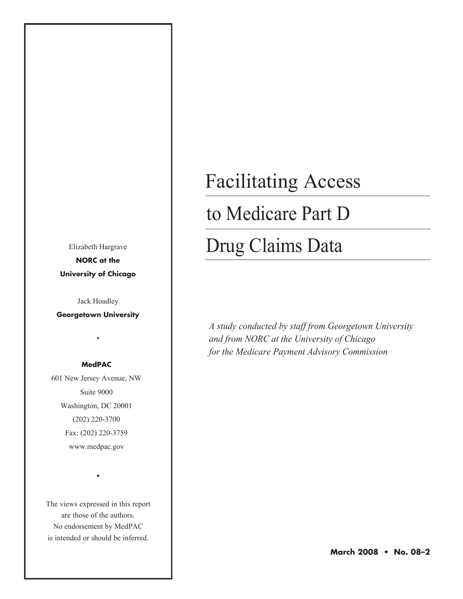Elizabeth Hargrave **NORC at the University of Chicago**

Jack Hoadley

**Georgetown University**

•

#### **MedPAC**

601 New Jersey Avenue, NW Suite 9000 Washington, DC 20001 (202) 220-3700 Fax: (202) 220-3759 www.medpac.gov

The views expressed in this report are those of the authors. No endorsement by MedPAC is intended or should be inferred.

•

# Facilitating Access

### to Medicare Part D

## Drug Claims Data

*A study conducted by staff from Georgetown University and from NORC at the University of Chicago for the Medicare Payment Advisory Commission*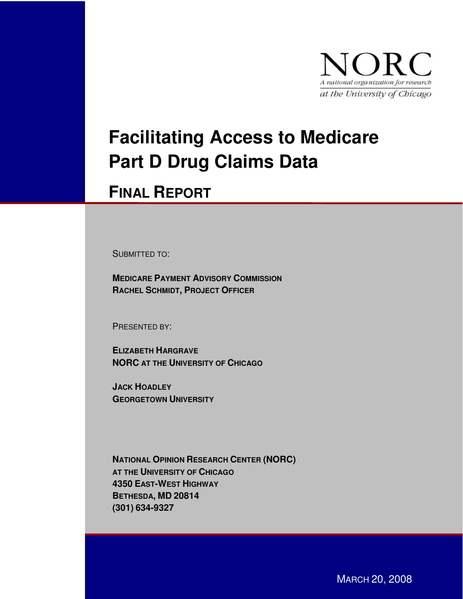

## **Facilitating Access to Medicare Part D Drug Claims Data**

### **FINAL REPORT**

SUBMITTED TO:

**MEDICARE PAYMENT ADVISORY COMMISSION RACHEL SCHMIDT, PROJECT OFFICER**

PRESENTED BY:

**ELIZABETH HARGRAVE NORC AT THE UNIVERSITY OF CHICAGO**

**JACK HOADLEY GEORGETOWN UNIVERSITY**

**NATIONAL OPINION RESEARCH CENTER (NORC) AT THE UNIVERSITY OF CHICAGO 4350 EAST-WEST HIGHWAY BETHESDA, MD 20814 (301) 634-9327**

MARCH 20, 2008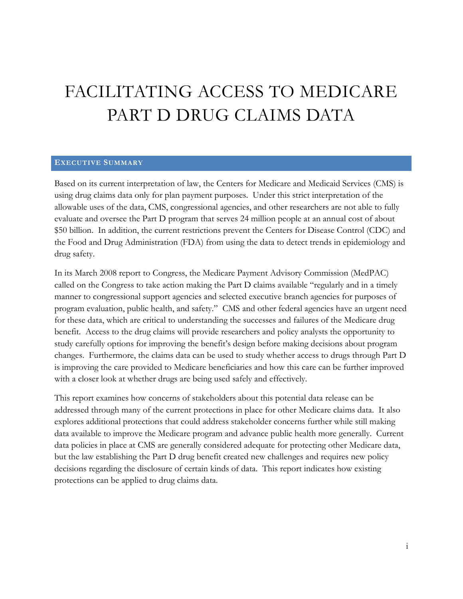### FACILITATING ACCESS TO MEDICARE PART D DRUG CLAIMS DATA

#### **EXECUTIVE SUMMARY**

Based on its current interpretation of law, the Centers for Medicare and Medicaid Services (CMS) is using drug claims data only for plan payment purposes. Under this strict interpretation of the allowable uses of the data, CMS, congressional agencies, and other researchers are not able to fully evaluate and oversee the Part D program that serves 24 million people at an annual cost of about \$50 billion. In addition, the current restrictions prevent the Centers for Disease Control (CDC) and the Food and Drug Administration (FDA) from using the data to detect trends in epidemiology and drug safety.

In its March 2008 report to Congress, the Medicare Payment Advisory Commission (MedPAC) called on the Congress to take action making the Part D claims available "regularly and in a timely manner to congressional support agencies and selected executive branch agencies for purposes of program evaluation, public health, and safety." CMS and other federal agencies have an urgent need for these data, which are critical to understanding the successes and failures of the Medicare drug benefit. Access to the drug claims will provide researchers and policy analysts the opportunity to study carefully options for improving the benefit's design before making decisions about program changes. Furthermore, the claims data can be used to study whether access to drugs through Part D is improving the care provided to Medicare beneficiaries and how this care can be further improved with a closer look at whether drugs are being used safely and effectively.

This report examines how concerns of stakeholders about this potential data release can be addressed through many of the current protections in place for other Medicare claims data. It also explores additional protections that could address stakeholder concerns further while still making data available to improve the Medicare program and advance public health more generally. Current data policies in place at CMS are generally considered adequate for protecting other Medicare data, but the law establishing the Part D drug benefit created new challenges and requires new policy decisions regarding the disclosure of certain kinds of data. This report indicates how existing protections can be applied to drug claims data.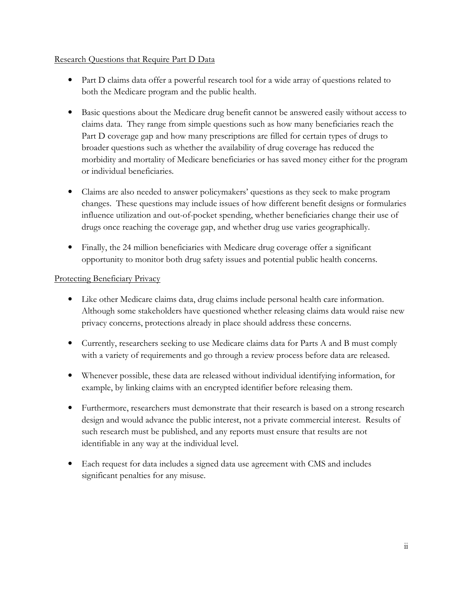#### Research Questions that Require Part D Data

- Part D claims data offer a powerful research tool for a wide array of questions related to both the Medicare program and the public health.
- Basic questions about the Medicare drug benefit cannot be answered easily without access to claims data. They range from simple questions such as how many beneficiaries reach the Part D coverage gap and how many prescriptions are filled for certain types of drugs to broader questions such as whether the availability of drug coverage has reduced the morbidity and mortality of Medicare beneficiaries or has saved money either for the program or individual beneficiaries.
- Claims are also needed to answer policymakers' questions as they seek to make program changes. These questions may include issues of how different benefit designs or formularies influence utilization and out-of-pocket spending, whether beneficiaries change their use of drugs once reaching the coverage gap, and whether drug use varies geographically.
- Finally, the 24 million beneficiaries with Medicare drug coverage offer a significant opportunity to monitor both drug safety issues and potential public health concerns.

#### Protecting Beneficiary Privacy

- Like other Medicare claims data, drug claims include personal health care information. Although some stakeholders have questioned whether releasing claims data would raise new privacy concerns, protections already in place should address these concerns.
- Currently, researchers seeking to use Medicare claims data for Parts A and B must comply with a variety of requirements and go through a review process before data are released.
- Whenever possible, these data are released without individual identifying information, for example, by linking claims with an encrypted identifier before releasing them.
- Furthermore, researchers must demonstrate that their research is based on a strong research design and would advance the public interest, not a private commercial interest. Results of such research must be published, and any reports must ensure that results are not identifiable in any way at the individual level.
- Each request for data includes a signed data use agreement with CMS and includes significant penalties for any misuse.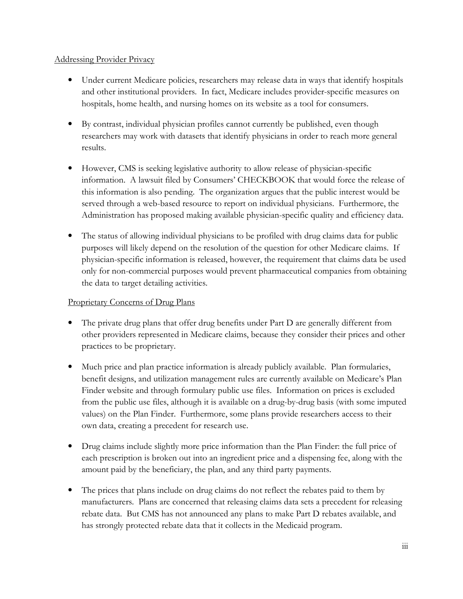#### **Addressing Provider Privacy**

- Under current Medicare policies, researchers may release data in ways that identify hospitals and other institutional providers. In fact, Medicare includes provider-specific measures on hospitals, home health, and nursing homes on its website as a tool for consumers.
- By contrast, individual physician profiles cannot currently be published, even though researchers may work with datasets that identify physicians in order to reach more general results.
- However, CMS is seeking legislative authority to allow release of physician-specific information. A lawsuit filed by Consumers' CHECKBOOK that would force the release of this information is also pending. The organization argues that the public interest would be served through a web-based resource to report on individual physicians. Furthermore, the Administration has proposed making available physician-specific quality and efficiency data.
- The status of allowing individual physicians to be profiled with drug claims data for public purposes will likely depend on the resolution of the question for other Medicare claims. If physician-specific information is released, however, the requirement that claims data be used only for non-commercial purposes would prevent pharmaceutical companies from obtaining the data to target detailing activities.

#### Proprietary Concerns of Drug Plans

- The private drug plans that offer drug benefits under Part D are generally different from other providers represented in Medicare claims, because they consider their prices and other practices to be proprietary.
- Much price and plan practice information is already publicly available. Plan formularies, benefit designs, and utilization management rules are currently available on Medicare's Plan Finder website and through formulary public use files. Information on prices is excluded from the public use files, although it is available on a drug-by-drug basis (with some imputed values) on the Plan Finder. Furthermore, some plans provide researchers access to their own data, creating a precedent for research use.
- Drug claims include slightly more price information than the Plan Finder: the full price of each prescription is broken out into an ingredient price and a dispensing fee, along with the amount paid by the beneficiary, the plan, and any third party payments.
- The prices that plans include on drug claims do not reflect the rebates paid to them by manufacturers. Plans are concerned that releasing claims data sets a precedent for releasing rebate data. But CMS has not announced any plans to make Part D rebates available, and has strongly protected rebate data that it collects in the Medicaid program.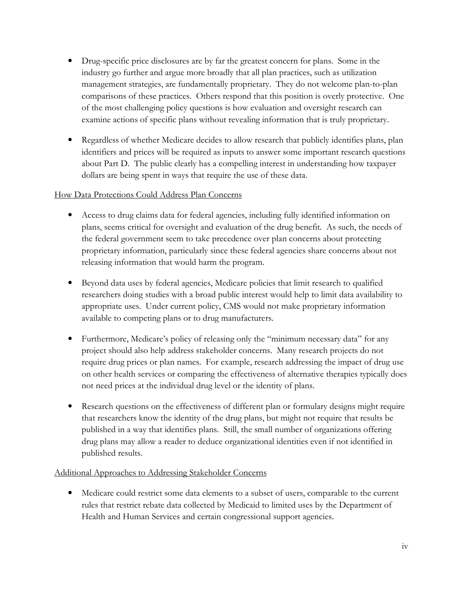- Drug-specific price disclosures are by far the greatest concern for plans. Some in the industry go further and argue more broadly that all plan practices, such as utilization management strategies, are fundamentally proprietary. They do not welcome plan-to-plan comparisons of these practices. Others respond that this position is overly protective. One of the most challenging policy questions is how evaluation and oversight research can examine actions of specific plans without revealing information that is truly proprietary.
- Regardless of whether Medicare decides to allow research that publicly identifies plans, plan identifiers and prices will be required as inputs to answer some important research questions about Part D. The public clearly has a compelling interest in understanding how taxpayer dollars are being spent in ways that require the use of these data.

#### How Data Protections Could Address Plan Concerns

- Access to drug claims data for federal agencies, including fully identified information on plans, seems critical for oversight and evaluation of the drug benefit. As such, the needs of the federal government seem to take precedence over plan concerns about protecting proprietary information, particularly since these federal agencies share concerns about not releasing information that would harm the program.
- Beyond data uses by federal agencies, Medicare policies that limit research to qualified researchers doing studies with a broad public interest would help to limit data availability to appropriate uses. Under current policy, CMS would not make proprietary information available to competing plans or to drug manufacturers.
- Furthermore, Medicare's policy of releasing only the "minimum necessary data" for any project should also help address stakeholder concerns. Many research projects do not require drug prices or plan names. For example, research addressing the impact of drug use on other health services or comparing the effectiveness of alternative therapies typically does not need prices at the individual drug level or the identity of plans.
- Research questions on the effectiveness of different plan or formulary designs might require that researchers know the identity of the drug plans, but might not require that results be published in a way that identifies plans. Still, the small number of organizations offering drug plans may allow a reader to deduce organizational identities even if not identified in published results.

#### Additional Approaches to Addressing Stakeholder Concerns

• Medicare could restrict some data elements to a subset of users, comparable to the current rules that restrict rebate data collected by Medicaid to limited uses by the Department of Health and Human Services and certain congressional support agencies.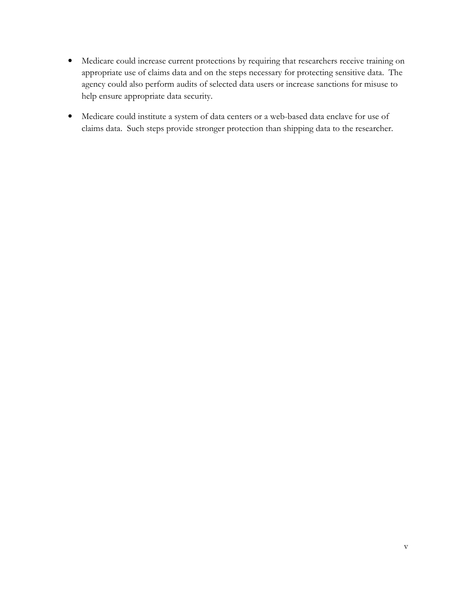- Medicare could increase current protections by requiring that researchers receive training on  $\bullet$ appropriate use of claims data and on the steps necessary for protecting sensitive data. The agency could also perform audits of selected data users or increase sanctions for misuse to help ensure appropriate data security.
- Medicare could institute a system of data centers or a web-based data enclave for use of claims data. Such steps provide stronger protection than shipping data to the researcher.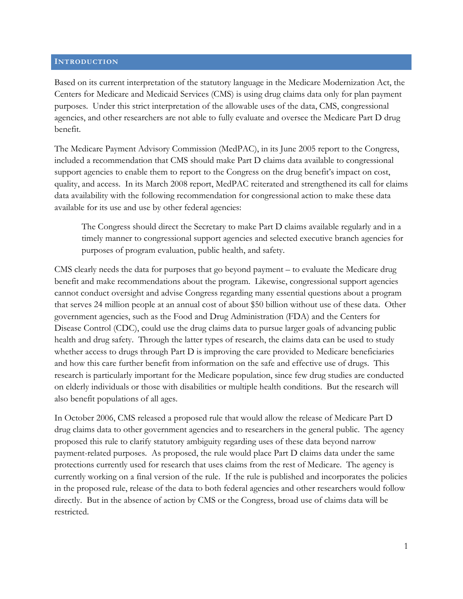#### **INTRODUCTION**

Based on its current interpretation of the statutory language in the Medicare Modernization Act, the Centers for Medicare and Medicaid Services (CMS) is using drug claims data only for plan payment purposes. Under this strict interpretation of the allowable uses of the data, CMS, congressional agencies, and other researchers are not able to fully evaluate and oversee the Medicare Part D drug benefit.

The Medicare Payment Advisory Commission (MedPAC), in its June 2005 report to the Congress, included a recommendation that CMS should make Part D claims data available to congressional support agencies to enable them to report to the Congress on the drug benefit's impact on cost, quality, and access. In its March 2008 report, MedPAC reiterated and strengthened its call for claims data availability with the following recommendation for congressional action to make these data available for its use and use by other federal agencies:

The Congress should direct the Secretary to make Part D claims available regularly and in a timely manner to congressional support agencies and selected executive branch agencies for purposes of program evaluation, public health, and safety.

CMS clearly needs the data for purposes that go beyond payment – to evaluate the Medicare drug benefit and make recommendations about the program. Likewise, congressional support agencies cannot conduct oversight and advise Congress regarding many essential questions about a program that serves 24 million people at an annual cost of about \$50 billion without use of these data. Other government agencies, such as the Food and Drug Administration (FDA) and the Centers for Disease Control (CDC), could use the drug claims data to pursue larger goals of advancing public health and drug safety. Through the latter types of research, the claims data can be used to study whether access to drugs through Part D is improving the care provided to Medicare beneficiaries and how this care further benefit from information on the safe and effective use of drugs. This research is particularly important for the Medicare population, since few drug studies are conducted on elderly individuals or those with disabilities or multiple health conditions. But the research will also benefit populations of all ages.

In October 2006, CMS released a proposed rule that would allow the release of Medicare Part D drug claims data to other government agencies and to researchers in the general public. The agency proposed this rule to clarify statutory ambiguity regarding uses of these data beyond narrow payment-related purposes. As proposed, the rule would place Part D claims data under the same protections currently used for research that uses claims from the rest of Medicare. The agency is currently working on a final version of the rule. If the rule is published and incorporates the policies in the proposed rule, release of the data to both federal agencies and other researchers would follow directly. But in the absence of action by CMS or the Congress, broad use of claims data will be restricted.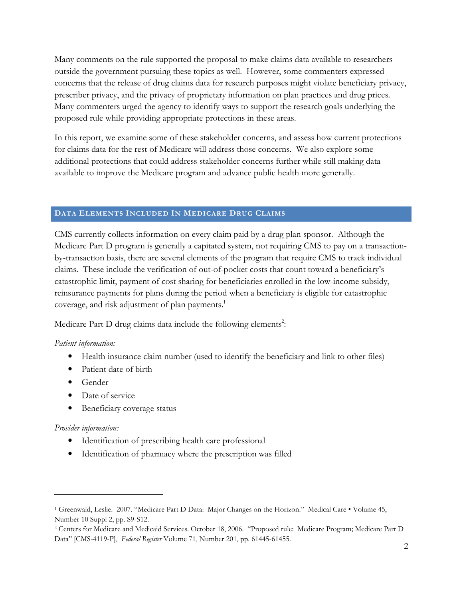Many comments on the rule supported the proposal to make claims data available to researchers outside the government pursuing these topics as well. However, some commenters expressed concerns that the release of drug claims data for research purposes might violate beneficiary privacy, prescriber privacy, and the privacy of proprietary information on plan practices and drug prices. Many commenters urged the agency to identify ways to support the research goals underlying the proposed rule while providing appropriate protections in these areas.

In this report, we examine some of these stakeholder concerns, and assess how current protections for claims data for the rest of Medicare will address those concerns. We also explore some additional protections that could address stakeholder concerns further while still making data available to improve the Medicare program and advance public health more generally.

#### DATA ELEMENTS INCLUDED IN MEDICARE DRUG CLAIMS

CMS currently collects information on every claim paid by a drug plan sponsor. Although the Medicare Part D program is generally a capitated system, not requiring CMS to pay on a transactionby-transaction basis, there are several elements of the program that require CMS to track individual claims. These include the verification of out-of-pocket costs that count toward a beneficiary's catastrophic limit, payment of cost sharing for beneficiaries enrolled in the low-income subsidy, reinsurance payments for plans during the period when a beneficiary is eligible for catastrophic coverage, and risk adjustment of plan payments.<sup>1</sup>

Medicare Part D drug claims data include the following elements<sup>2</sup>:

#### Patient information:

- Health insurance claim number (used to identify the beneficiary and link to other files)
- Patient date of birth
- $\bullet$  Gender
- Date of service
- Beneficiary coverage status

#### Provider information:

- Identification of prescribing health care professional
- Identification of pharmacy where the prescription was filled

<sup>&</sup>lt;sup>1</sup> Greenwald, Leslie. 2007. "Medicare Part D Data: Major Changes on the Horizon." Medical Care • Volume 45, Number 10 Suppl 2, pp. S9-S12.

<sup>&</sup>lt;sup>2</sup> Centers for Medicare and Medicaid Services. October 18, 2006. "Proposed rule: Medicare Program; Medicare Part D Data" [CMS-4119-P], Federal Register Volume 71, Number 201, pp. 61445-61455.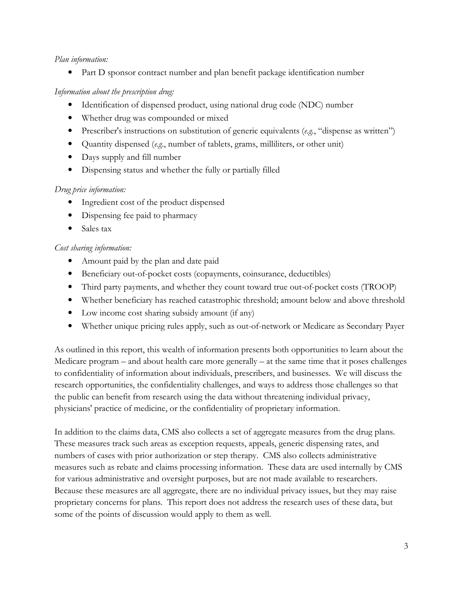#### Plan information:

• Part D sponsor contract number and plan benefit package identification number

#### Information about the prescription drug:

- Identification of dispensed product, using national drug code (NDC) number
- Whether drug was compounded or mixed
- Prescriber's instructions on substitution of generic equivalents  $(e.g., 'disperse as written')$
- Quantity dispensed (e.g., number of tablets, grams, milliliters, or other unit)
- Days supply and fill number
- Dispensing status and whether the fully or partially filled

#### Drug price information:

- Ingredient cost of the product dispensed
- Dispensing fee paid to pharmacy
- $\bullet$ Sales tax

#### Cost sharing information:

- Amount paid by the plan and date paid
- Beneficiary out-of-pocket costs (copayments, coinsurance, deductibles)
- Third party payments, and whether they count toward true out-of-pocket costs (TROOP)
- Whether beneficiary has reached catastrophic threshold; amount below and above threshold
- Low income cost sharing subsidy amount (if any)
- Whether unique pricing rules apply, such as out-of-network or Medicare as Secondary Payer

As outlined in this report, this wealth of information presents both opportunities to learn about the Medicare program – and about health care more generally – at the same time that it poses challenges to confidentiality of information about individuals, prescribers, and businesses. We will discuss the research opportunities, the confidentiality challenges, and ways to address those challenges so that the public can benefit from research using the data without threatening individual privacy, physicians' practice of medicine, or the confidentiality of proprietary information.

In addition to the claims data, CMS also collects a set of aggregate measures from the drug plans. These measures track such areas as exception requests, appeals, generic dispensing rates, and numbers of cases with prior authorization or step therapy. CMS also collects administrative measures such as rebate and claims processing information. These data are used internally by CMS for various administrative and oversight purposes, but are not made available to researchers. Because these measures are all aggregate, there are no individual privacy issues, but they may raise proprietary concerns for plans. This report does not address the research uses of these data, but some of the points of discussion would apply to them as well.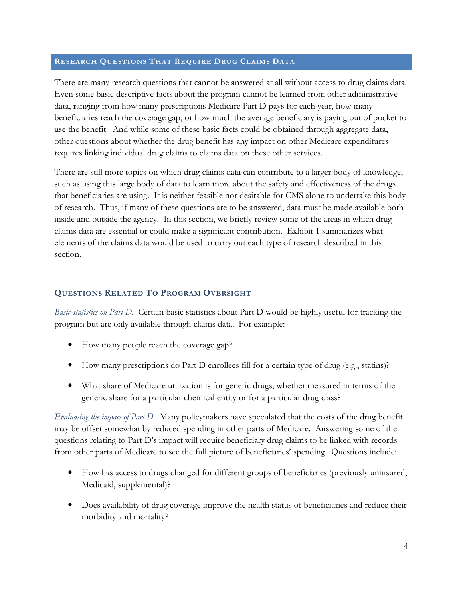#### RESEARCH QUESTIONS THAT REQUIRE DRUG CLAIMS DATA

There are many research questions that cannot be answered at all without access to drug claims data. Even some basic descriptive facts about the program cannot be learned from other administrative data, ranging from how many prescriptions Medicare Part D pays for each year, how many beneficiaries reach the coverage gap, or how much the average beneficiary is paying out of pocket to use the benefit. And while some of these basic facts could be obtained through aggregate data, other questions about whether the drug benefit has any impact on other Medicare expenditures requires linking individual drug claims to claims data on these other services.

There are still more topics on which drug claims data can contribute to a larger body of knowledge, such as using this large body of data to learn more about the safety and effectiveness of the drugs that beneficiaries are using. It is neither feasible nor desirable for CMS alone to undertake this body of research. Thus, if many of these questions are to be answered, data must be made available both inside and outside the agency. In this section, we briefly review some of the areas in which drug claims data are essential or could make a significant contribution. Exhibit 1 summarizes what elements of the claims data would be used to carry out each type of research described in this section.

#### **QUESTIONS RELATED TO PROGRAM OVERSIGHT**

Basic statistics on Part D. Certain basic statistics about Part D would be highly useful for tracking the program but are only available through claims data. For example:

- How many people reach the coverage gap?
- How many prescriptions do Part D enrollees fill for a certain type of drug (e.g., statins)?
- What share of Medicare utilization is for generic drugs, whether measured in terms of the generic share for a particular chemical entity or for a particular drug class?

Evaluating the impact of Part D. Many policymakers have speculated that the costs of the drug benefit may be offset somewhat by reduced spending in other parts of Medicare. Answering some of the questions relating to Part D's impact will require beneficiary drug claims to be linked with records from other parts of Medicare to see the full picture of beneficiaries' spending. Questions include:

- How has access to drugs changed for different groups of beneficiaries (previously uninsured, Medicaid, supplemental)?
- Does availability of drug coverage improve the health status of beneficiaries and reduce their morbidity and mortality?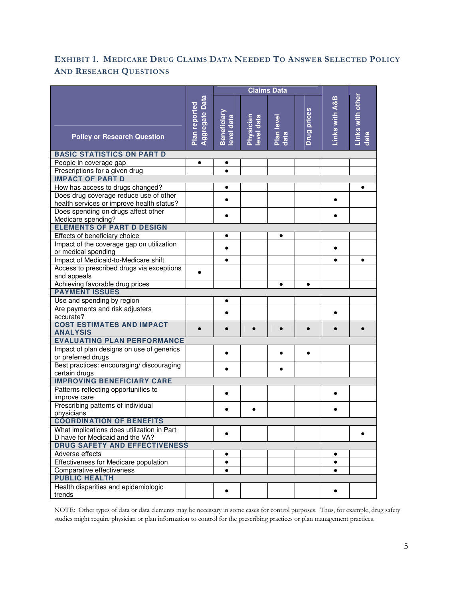#### EXHIBIT 1. MEDICARE DRUG CLAIMS DATA NEEDED TO ANSWER SELECTED POLICY **AND RESEARCH QUESTIONS**

|                                                                                     |                                 | <b>Claims Data</b>       |                         |                    |                    |                |                          |
|-------------------------------------------------------------------------------------|---------------------------------|--------------------------|-------------------------|--------------------|--------------------|----------------|--------------------------|
| <b>Policy or Research Question</b>                                                  | Aggregate Data<br>Plan reported | Beneficiary<br>evel data | Physician<br>level data | Plan level<br>data | <b>Drug prices</b> | Links with A&B | Links with other<br>data |
| <b>BASIC STATISTICS ON PART D</b>                                                   |                                 |                          |                         |                    |                    |                |                          |
| People in coverage gap                                                              | ٠                               | ٠                        |                         |                    |                    |                |                          |
| Prescriptions for a given drug                                                      |                                 | $\bullet$                |                         |                    |                    |                |                          |
| <b>IMPACT OF PART D</b>                                                             |                                 |                          |                         |                    |                    |                |                          |
| How has access to drugs changed?                                                    |                                 | $\bullet$                |                         |                    |                    |                | $\bullet$                |
| Does drug coverage reduce use of other<br>health services or improve health status? |                                 | $\bullet$                |                         |                    |                    | $\bullet$      |                          |
| Does spending on drugs affect other                                                 |                                 | $\bullet$                |                         |                    |                    |                |                          |
| Medicare spending?                                                                  |                                 |                          |                         |                    |                    |                |                          |
| <b>ELEMENTS OF PART D DESIGN</b>                                                    |                                 |                          |                         |                    |                    |                |                          |
| Effects of beneficiary choice                                                       |                                 | ٠                        |                         | $\bullet$          |                    |                |                          |
| Impact of the coverage gap on utilization                                           |                                 | $\bullet$                |                         |                    |                    |                |                          |
| or medical spending                                                                 |                                 |                          |                         |                    |                    |                |                          |
| Impact of Medicaid-to-Medicare shift                                                |                                 | $\bullet$                |                         |                    |                    | $\bullet$      | $\bullet$                |
| Access to prescribed drugs via exceptions                                           |                                 |                          |                         |                    |                    |                |                          |
| and appeals                                                                         |                                 |                          |                         |                    |                    |                |                          |
| Achieving favorable drug prices                                                     |                                 |                          |                         | $\bullet$          | $\bullet$          |                |                          |
| <b>PAYMENT ISSUES</b>                                                               |                                 |                          |                         |                    |                    |                |                          |
| Use and spending by region                                                          |                                 | $\bullet$                |                         |                    |                    |                |                          |
| Are payments and risk adjusters                                                     |                                 |                          |                         |                    |                    | 6              |                          |
| accurate?<br><b>COST ESTIMATES AND IMPACT</b>                                       |                                 |                          |                         |                    |                    |                |                          |
| <b>ANALYSIS</b>                                                                     |                                 |                          |                         |                    |                    |                |                          |
| <b>EVALUATING PLAN PERFORMANCE</b>                                                  |                                 |                          |                         |                    |                    |                |                          |
| Impact of plan designs on use of generics                                           |                                 |                          |                         |                    |                    |                |                          |
| or preferred drugs                                                                  |                                 |                          |                         |                    |                    |                |                          |
| Best practices: encouraging/ discouraging                                           |                                 |                          |                         |                    |                    |                |                          |
| certain drugs                                                                       |                                 |                          |                         |                    |                    |                |                          |
| <b>IMPROVING BENEFICIARY CARE</b>                                                   |                                 |                          |                         |                    |                    |                |                          |
| Patterns reflecting opportunities to                                                |                                 |                          |                         |                    |                    |                |                          |
| improve care                                                                        |                                 |                          |                         |                    |                    |                |                          |
| Prescribing patterns of individual                                                  |                                 |                          |                         |                    |                    |                |                          |
| physicians                                                                          |                                 |                          |                         |                    |                    |                |                          |
| <b>COORDINATION OF BENEFITS</b>                                                     |                                 |                          |                         |                    |                    |                |                          |
| What implications does utilization in Part                                          |                                 | $\bullet$                |                         |                    |                    |                |                          |
| D have for Medicaid and the VA?                                                     |                                 |                          |                         |                    |                    |                |                          |
| <b>DRUG SAFETY AND EFFECTIVENESS</b>                                                |                                 |                          |                         |                    |                    |                |                          |
| Adverse effects                                                                     |                                 | $\bullet$                |                         |                    |                    | ٠              |                          |
| Effectiveness for Medicare population                                               |                                 | ٠                        |                         |                    |                    | ٠              |                          |
| Comparative effectiveness                                                           |                                 | ٠                        |                         |                    |                    | $\bullet$      |                          |
| <b>PUBLIC HEALTH</b>                                                                |                                 |                          |                         |                    |                    |                |                          |
| Health disparities and epidemiologic                                                |                                 | $\bullet$                |                         |                    |                    | ٠              |                          |
| trends                                                                              |                                 |                          |                         |                    |                    |                |                          |

NOTE: Other types of data or data elements may be necessary in some cases for control purposes. Thus, for example, drug safety studies might require physician or plan information to control for the prescribing practices or plan management practices.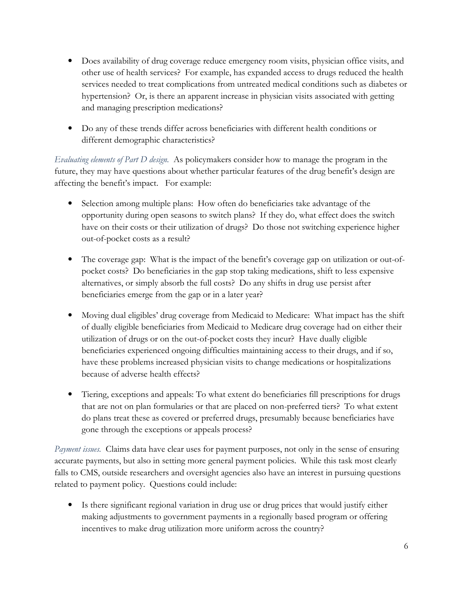- Does availability of drug coverage reduce emergency room visits, physician office visits, and other use of health services? For example, has expanded access to drugs reduced the health services needed to treat complications from untreated medical conditions such as diabetes or hypertension? Or, is there an apparent increase in physician visits associated with getting and managing prescription medications?
- Do any of these trends differ across beneficiaries with different health conditions or different demographic characteristics?

Evaluating elements of Part D design. As policymakers consider how to manage the program in the future, they may have questions about whether particular features of the drug benefit's design are affecting the benefit's impact. For example:

- Selection among multiple plans: How often do beneficiaries take advantage of the opportunity during open seasons to switch plans? If they do, what effect does the switch have on their costs or their utilization of drugs? Do those not switching experience higher out-of-pocket costs as a result?
- The coverage gap: What is the impact of the benefit's coverage gap on utilization or out-ofpocket costs? Do beneficiaries in the gap stop taking medications, shift to less expensive alternatives, or simply absorb the full costs? Do any shifts in drug use persist after beneficiaries emerge from the gap or in a later year?
- Moving dual eligibles' drug coverage from Medicaid to Medicare: What impact has the shift of dually eligible beneficiaries from Medicaid to Medicare drug coverage had on either their utilization of drugs or on the out-of-pocket costs they incur? Have dually eligible beneficiaries experienced ongoing difficulties maintaining access to their drugs, and if so, have these problems increased physician visits to change medications or hospitalizations because of adverse health effects?
- Tiering, exceptions and appeals: To what extent do beneficiaries fill prescriptions for drugs that are not on plan formularies or that are placed on non-preferred tiers? To what extent do plans treat these as covered or preferred drugs, presumably because beneficiaries have gone through the exceptions or appeals process?

Payment issues. Claims data have clear uses for payment purposes, not only in the sense of ensuring accurate payments, but also in setting more general payment policies. While this task most clearly falls to CMS, outside researchers and oversight agencies also have an interest in pursuing questions related to payment policy. Questions could include:

• Is there significant regional variation in drug use or drug prices that would justify either making adjustments to government payments in a regionally based program or offering incentives to make drug utilization more uniform across the country?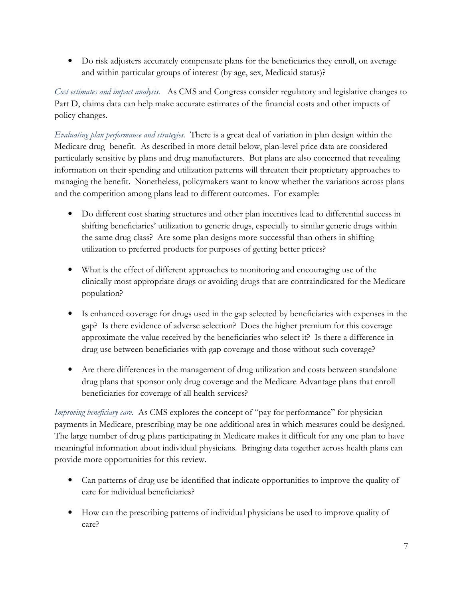• Do risk adjusters accurately compensate plans for the beneficiaries they enroll, on average and within particular groups of interest (by age, sex, Medicaid status)?

Cost estimates and impact analysis. As CMS and Congress consider regulatory and legislative changes to Part D, claims data can help make accurate estimates of the financial costs and other impacts of policy changes.

*Evaluating plan performance and strategies.* There is a great deal of variation in plan design within the Medicare drug benefit. As described in more detail below, plan-level price data are considered particularly sensitive by plans and drug manufacturers. But plans are also concerned that revealing information on their spending and utilization patterns will threaten their proprietary approaches to managing the benefit. Nonetheless, policymakers want to know whether the variations across plans and the competition among plans lead to different outcomes. For example:

- Do different cost sharing structures and other plan incentives lead to differential success in shifting beneficiaries' utilization to generic drugs, especially to similar generic drugs within the same drug class? Are some plan designs more successful than others in shifting utilization to preferred products for purposes of getting better prices?
- What is the effect of different approaches to monitoring and encouraging use of the clinically most appropriate drugs or avoiding drugs that are contraindicated for the Medicare population?
- Is enhanced coverage for drugs used in the gap selected by beneficiaries with expenses in the gap? Is there evidence of adverse selection? Does the higher premium for this coverage approximate the value received by the beneficiaries who select it? Is there a difference in drug use between beneficiaries with gap coverage and those without such coverage?
- Are there differences in the management of drug utilization and costs between standalone drug plans that sponsor only drug coverage and the Medicare Advantage plans that enroll beneficiaries for coverage of all health services?

Improving beneficiary care. As CMS explores the concept of "pay for performance" for physician payments in Medicare, prescribing may be one additional area in which measures could be designed. The large number of drug plans participating in Medicare makes it difficult for any one plan to have meaningful information about individual physicians. Bringing data together across health plans can provide more opportunities for this review.

- Can patterns of drug use be identified that indicate opportunities to improve the quality of care for individual beneficiaries?
- How can the prescribing patterns of individual physicians be used to improve quality of care?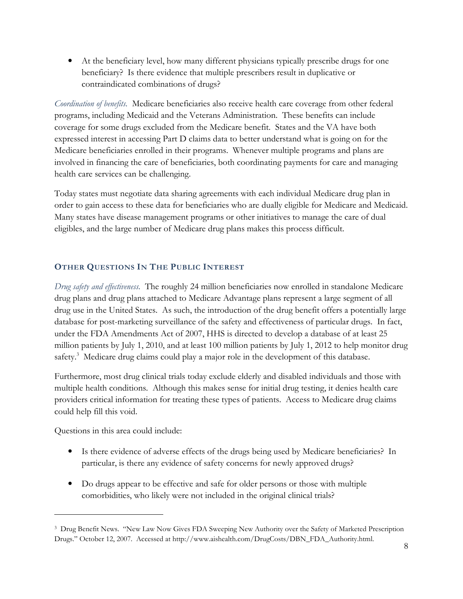• At the beneficiary level, how many different physicians typically prescribe drugs for one beneficiary? Is there evidence that multiple prescribers result in duplicative or contraindicated combinations of drugs?

Coordination of benefits. Medicare beneficiaries also receive health care coverage from other federal programs, including Medicaid and the Veterans Administration. These benefits can include coverage for some drugs excluded from the Medicare benefit. States and the VA have both expressed interest in accessing Part D claims data to better understand what is going on for the Medicare beneficiaries enrolled in their programs. Whenever multiple programs and plans are involved in financing the care of beneficiaries, both coordinating payments for care and managing health care services can be challenging.

Today states must negotiate data sharing agreements with each individual Medicare drug plan in order to gain access to these data for beneficiaries who are dually eligible for Medicare and Medicaid. Many states have disease management programs or other initiatives to manage the care of dual eligibles, and the large number of Medicare drug plans makes this process difficult.

#### OTHER QUESTIONS IN THE PUBLIC INTEREST

Drug safety and effectiveness. The roughly 24 million beneficiaries now enrolled in standalone Medicare drug plans and drug plans attached to Medicare Advantage plans represent a large segment of all drug use in the United States. As such, the introduction of the drug benefit offers a potentially large database for post-marketing surveillance of the safety and effectiveness of particular drugs. In fact, under the FDA Amendments Act of 2007, HHS is directed to develop a database of at least 25 million patients by July 1, 2010, and at least 100 million patients by July 1, 2012 to help monitor drug safety.<sup>3</sup> Medicare drug claims could play a major role in the development of this database.

Furthermore, most drug clinical trials today exclude elderly and disabled individuals and those with multiple health conditions. Although this makes sense for initial drug testing, it denies health care providers critical information for treating these types of patients. Access to Medicare drug claims could help fill this void.

Questions in this area could include:

- Is there evidence of adverse effects of the drugs being used by Medicare beneficiaries? In particular, is there any evidence of safety concerns for newly approved drugs?
- Do drugs appear to be effective and safe for older persons or those with multiple comorbidities, who likely were not included in the original clinical trials?

<sup>&</sup>lt;sup>3</sup> Drug Benefit News. "New Law Now Gives FDA Sweeping New Authority over the Safety of Marketed Prescription Drugs." October 12, 2007. Accessed at http://www.aishealth.com/DrugCosts/DBN\_FDA\_Authority.html.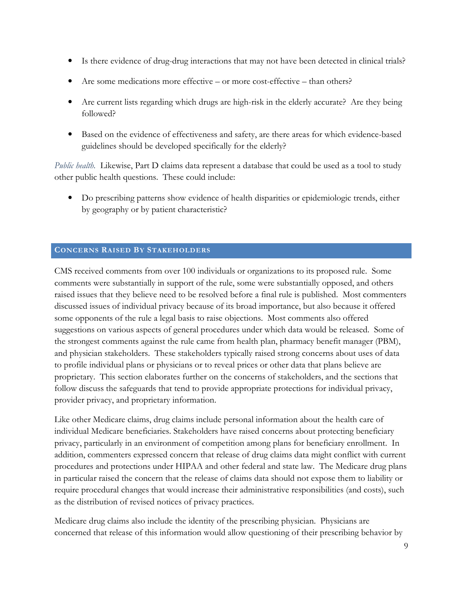- Is there evidence of drug-drug interactions that may not have been detected in clinical trials?
- Are some medications more effective or more cost-effective than others?
- Are current lists regarding which drugs are high-risk in the elderly accurate? Are they being followed?
- Based on the evidence of effectiveness and safety, are there areas for which evidence-based guidelines should be developed specifically for the elderly?

Public health. Likewise, Part D claims data represent a database that could be used as a tool to study other public health questions. These could include:

• Do prescribing patterns show evidence of health disparities or epidemiologic trends, either by geography or by patient characteristic?

#### **CONCERNS RAISED BY STAKEHOLDERS**

CMS received comments from over 100 individuals or organizations to its proposed rule. Some comments were substantially in support of the rule, some were substantially opposed, and others raised issues that they believe need to be resolved before a final rule is published. Most commenters discussed issues of individual privacy because of its broad importance, but also because it offered some opponents of the rule a legal basis to raise objections. Most comments also offered suggestions on various aspects of general procedures under which data would be released. Some of the strongest comments against the rule came from health plan, pharmacy benefit manager (PBM), and physician stakeholders. These stakeholders typically raised strong concerns about uses of data to profile individual plans or physicians or to reveal prices or other data that plans believe are proprietary. This section elaborates further on the concerns of stakeholders, and the sections that follow discuss the safeguards that tend to provide appropriate protections for individual privacy, provider privacy, and proprietary information.

Like other Medicare claims, drug claims include personal information about the health care of individual Medicare beneficiaries. Stakeholders have raised concerns about protecting beneficiary privacy, particularly in an environment of competition among plans for beneficiary enrollment. In addition, commenters expressed concern that release of drug claims data might conflict with current procedures and protections under HIPAA and other federal and state law. The Medicare drug plans in particular raised the concern that the release of claims data should not expose them to liability or require procedural changes that would increase their administrative responsibilities (and costs), such as the distribution of revised notices of privacy practices.

Medicare drug claims also include the identity of the prescribing physician. Physicians are concerned that release of this information would allow questioning of their prescribing behavior by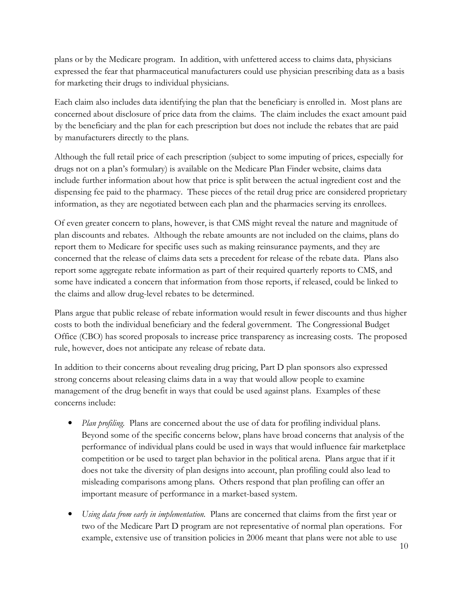plans or by the Medicare program. In addition, with unfettered access to claims data, physicians expressed the fear that pharmaceutical manufacturers could use physician prescribing data as a basis for marketing their drugs to individual physicians.

Each claim also includes data identifying the plan that the beneficiary is enrolled in. Most plans are concerned about disclosure of price data from the claims. The claim includes the exact amount paid by the beneficiary and the plan for each prescription but does not include the rebates that are paid by manufacturers directly to the plans.

Although the full retail price of each prescription (subject to some imputing of prices, especially for drugs not on a plan's formulary) is available on the Medicare Plan Finder website, claims data include further information about how that price is split between the actual ingredient cost and the dispensing fee paid to the pharmacy. These pieces of the retail drug price are considered proprietary information, as they are negotiated between each plan and the pharmacies serving its enrollees.

Of even greater concern to plans, however, is that CMS might reveal the nature and magnitude of plan discounts and rebates. Although the rebate amounts are not included on the claims, plans do report them to Medicare for specific uses such as making reinsurance payments, and they are concerned that the release of claims data sets a precedent for release of the rebate data. Plans also report some aggregate rebate information as part of their required quarterly reports to CMS, and some have indicated a concern that information from those reports, if released, could be linked to the claims and allow drug-level rebates to be determined.

Plans argue that public release of rebate information would result in fewer discounts and thus higher costs to both the individual beneficiary and the federal government. The Congressional Budget Office (CBO) has scored proposals to increase price transparency as increasing costs. The proposed rule, however, does not anticipate any release of rebate data.

In addition to their concerns about revealing drug pricing, Part D plan sponsors also expressed strong concerns about releasing claims data in a way that would allow people to examine management of the drug benefit in ways that could be used against plans. Examples of these concerns include:

- *Plan profiling*. Plans are concerned about the use of data for profiling individual plans. Beyond some of the specific concerns below, plans have broad concerns that analysis of the performance of individual plans could be used in ways that would influence fair marketplace competition or be used to target plan behavior in the political arena. Plans argue that if it does not take the diversity of plan designs into account, plan profiling could also lead to misleading comparisons among plans. Others respond that plan profiling can offer an important measure of performance in a market-based system.
- Using data from early in implementation. Plans are concerned that claims from the first year or two of the Medicare Part D program are not representative of normal plan operations. For example, extensive use of transition policies in 2006 meant that plans were not able to use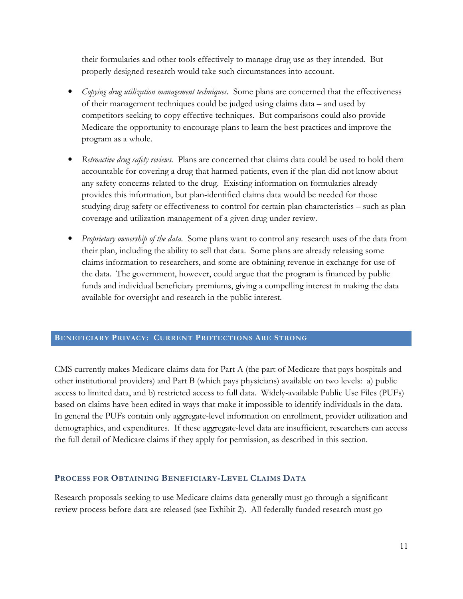their formularies and other tools effectively to manage drug use as they intended. But properly designed research would take such circumstances into account.

- Copying drug utilization management techniques. Some plans are concerned that the effectiveness of their management techniques could be judged using claims data – and used by competitors seeking to copy effective techniques. But comparisons could also provide Medicare the opportunity to encourage plans to learn the best practices and improve the program as a whole.
- Retroactive drug safety reviews. Plans are concerned that claims data could be used to hold them accountable for covering a drug that harmed patients, even if the plan did not know about any safety concerns related to the drug. Existing information on formularies already provides this information, but plan-identified claims data would be needed for those studying drug safety or effectiveness to control for certain plan characteristics – such as plan coverage and utilization management of a given drug under review.
- *Proprietary ownership of the data.* Some plans want to control any research uses of the data from their plan, including the ability to sell that data. Some plans are already releasing some claims information to researchers, and some are obtaining revenue in exchange for use of the data. The government, however, could argue that the program is financed by public funds and individual beneficiary premiums, giving a compelling interest in making the data available for oversight and research in the public interest.

#### **BENEFICIARY PRIVACY: CURRENT PROTECTIONS ARE STRONG**

CMS currently makes Medicare claims data for Part A (the part of Medicare that pays hospitals and other institutional providers) and Part B (which pays physicians) available on two levels: a) public access to limited data, and b) restricted access to full data. Widely-available Public Use Files (PUFs) based on claims have been edited in ways that make it impossible to identify individuals in the data. In general the PUFs contain only aggregate-level information on enrollment, provider utilization and demographics, and expenditures. If these aggregate-level data are insufficient, researchers can access the full detail of Medicare claims if they apply for permission, as described in this section.

#### PROCESS FOR OBTAINING BENEFICIARY-LEVEL CLAIMS DATA

Research proposals seeking to use Medicare claims data generally must go through a significant review process before data are released (see Exhibit 2). All federally funded research must go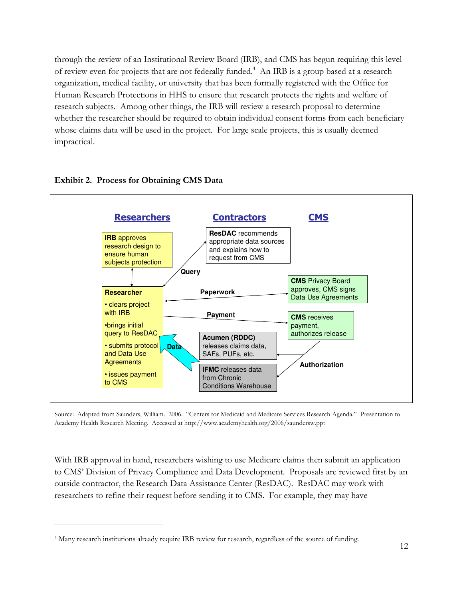through the review of an Institutional Review Board (IRB), and CMS has begun requiring this level of review even for projects that are not federally funded.<sup>4</sup> An IRB is a group based at a research organization, medical facility, or university that has been formally registered with the Office for Human Research Protections in HHS to ensure that research protects the rights and welfare of research subjects. Among other things, the IRB will review a research proposal to determine whether the researcher should be required to obtain individual consent forms from each beneficiary whose claims data will be used in the project. For large scale projects, this is usually deemed impractical.



#### **Exhibit 2. Process for Obtaining CMS Data**

Source: Adapted from Saunders, William. 2006. "Centers for Medicaid and Medicare Services Research Agenda." Presentation to Academy Health Research Meeting. Accessed at http://www.academyhealth.org/2006/saundersw.ppt

With IRB approval in hand, researchers wishing to use Medicare claims then submit an application to CMS' Division of Privacy Compliance and Data Development. Proposals are reviewed first by an outside contractor, the Research Data Assistance Center (ResDAC). ResDAC may work with researchers to refine their request before sending it to CMS. For example, they may have

<sup>&</sup>lt;sup>4</sup> Many research institutions already require IRB review for research, regardless of the source of funding.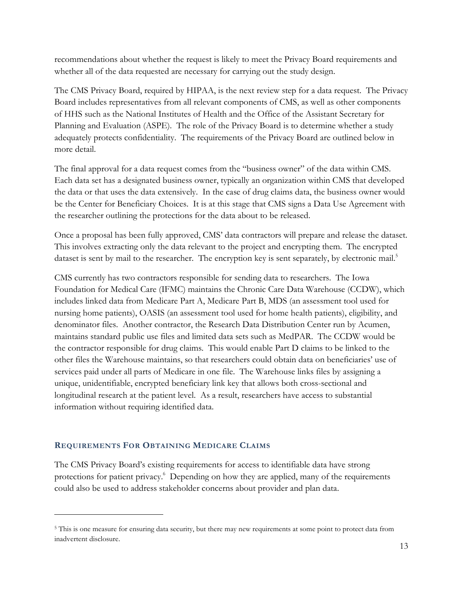recommendations about whether the request is likely to meet the Privacy Board requirements and whether all of the data requested are necessary for carrying out the study design.

The CMS Privacy Board, required by HIPAA, is the next review step for a data request. The Privacy Board includes representatives from all relevant components of CMS, as well as other components of HHS such as the National Institutes of Health and the Office of the Assistant Secretary for Planning and Evaluation (ASPE). The role of the Privacy Board is to determine whether a study adequately protects confidentiality. The requirements of the Privacy Board are outlined below in more detail.

The final approval for a data request comes from the "business owner" of the data within CMS. Each data set has a designated business owner, typically an organization within CMS that developed the data or that uses the data extensively. In the case of drug claims data, the business owner would be the Center for Beneficiary Choices. It is at this stage that CMS signs a Data Use Agreement with the researcher outlining the protections for the data about to be released.

Once a proposal has been fully approved, CMS' data contractors will prepare and release the dataset. This involves extracting only the data relevant to the project and encrypting them. The encrypted dataset is sent by mail to the researcher. The encryption key is sent separately, by electronic mail.<sup>5</sup>

CMS currently has two contractors responsible for sending data to researchers. The Iowa Foundation for Medical Care (IFMC) maintains the Chronic Care Data Warehouse (CCDW), which includes linked data from Medicare Part A, Medicare Part B, MDS (an assessment tool used for nursing home patients), OASIS (an assessment tool used for home health patients), eligibility, and denominator files. Another contractor, the Research Data Distribution Center run by Acumen, maintains standard public use files and limited data sets such as MedPAR. The CCDW would be the contractor responsible for drug claims. This would enable Part D claims to be linked to the other files the Warehouse maintains, so that researchers could obtain data on beneficiaries' use of services paid under all parts of Medicare in one file. The Warehouse links files by assigning a unique, unidentifiable, encrypted beneficiary link key that allows both cross-sectional and longitudinal research at the patient level. As a result, researchers have access to substantial information without requiring identified data.

#### **REQUIREMENTS FOR OBTAINING MEDICARE CLAIMS**

The CMS Privacy Board's existing requirements for access to identifiable data have strong protections for patient privacy.<sup>6</sup> Depending on how they are applied, many of the requirements could also be used to address stakeholder concerns about provider and plan data.

<sup>&</sup>lt;sup>5</sup> This is one measure for ensuring data security, but there may new requirements at some point to protect data from inadvertent disclosure.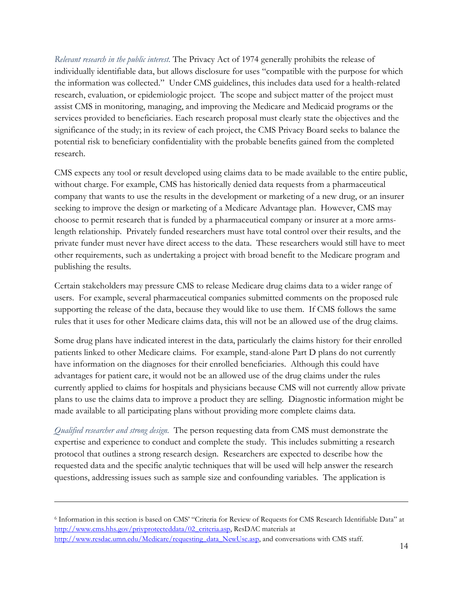Relevant research in the public interest. The Privacy Act of 1974 generally prohibits the release of individually identifiable data, but allows disclosure for uses "compatible with the purpose for which the information was collected." Under CMS guidelines, this includes data used for a health-related research, evaluation, or epidemiologic project. The scope and subject matter of the project must assist CMS in monitoring, managing, and improving the Medicare and Medicaid programs or the services provided to beneficiaries. Each research proposal must clearly state the objectives and the significance of the study; in its review of each project, the CMS Privacy Board seeks to balance the potential risk to beneficiary confidentiality with the probable benefits gained from the completed research.

CMS expects any tool or result developed using claims data to be made available to the entire public, without charge. For example, CMS has historically denied data requests from a pharmaceutical company that wants to use the results in the development or marketing of a new drug, or an insurer seeking to improve the design or marketing of a Medicare Advantage plan. However, CMS may choose to permit research that is funded by a pharmaceutical company or insurer at a more armslength relationship. Privately funded researchers must have total control over their results, and the private funder must never have direct access to the data. These researchers would still have to meet other requirements, such as undertaking a project with broad benefit to the Medicare program and publishing the results.

Certain stakeholders may pressure CMS to release Medicare drug claims data to a wider range of users. For example, several pharmaceutical companies submitted comments on the proposed rule supporting the release of the data, because they would like to use them. If CMS follows the same rules that it uses for other Medicare claims data, this will not be an allowed use of the drug claims.

Some drug plans have indicated interest in the data, particularly the claims history for their enrolled patients linked to other Medicare claims. For example, stand-alone Part D plans do not currently have information on the diagnoses for their enrolled beneficiaries. Although this could have advantages for patient care, it would not be an allowed use of the drug claims under the rules currently applied to claims for hospitals and physicians because CMS will not currently allow private plans to use the claims data to improve a product they are selling. Diagnostic information might be made available to all participating plans without providing more complete claims data.

*Oualified researcher and strong design.* The person requesting data from CMS must demonstrate the expertise and experience to conduct and complete the study. This includes submitting a research protocol that outlines a strong research design. Researchers are expected to describe how the requested data and the specific analytic techniques that will be used will help answer the research questions, addressing issues such as sample size and confounding variables. The application is

<sup>&</sup>lt;sup>6</sup> Information in this section is based on CMS' "Criteria for Review of Requests for CMS Research Identifiable Data" at http://www.cms.hhs.gov/privprotecteddata/02\_criteria.asp, ResDAC materials at http://www.resdac.umn.edu/Medicare/requesting\_data\_NewUse.asp, and conversations with CMS\_staff.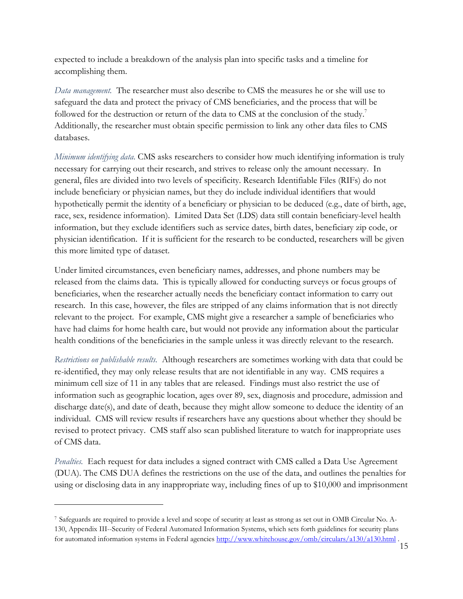expected to include a breakdown of the analysis plan into specific tasks and a timeline for accomplishing them.

Data management. The researcher must also describe to CMS the measures he or she will use to safeguard the data and protect the privacy of CMS beneficiaries, and the process that will be followed for the destruction or return of the data to CMS at the conclusion of the study.<sup>7</sup> Additionally, the researcher must obtain specific permission to link any other data files to CMS databases.

Minimum identifying data. CMS asks researchers to consider how much identifying information is truly necessary for carrying out their research, and strives to release only the amount necessary. In general, files are divided into two levels of specificity. Research Identifiable Files (RIFs) do not include beneficiary or physician names, but they do include individual identifiers that would hypothetically permit the identity of a beneficiary or physician to be deduced (e.g., date of birth, age, race, sex, residence information). Limited Data Set (LDS) data still contain beneficiary-level health information, but they exclude identifiers such as service dates, birth dates, beneficiary zip code, or physician identification. If it is sufficient for the research to be conducted, researchers will be given this more limited type of dataset.

Under limited circumstances, even beneficiary names, addresses, and phone numbers may be released from the claims data. This is typically allowed for conducting surveys or focus groups of beneficiaries, when the researcher actually needs the beneficiary contact information to carry out research. In this case, however, the files are stripped of any claims information that is not directly relevant to the project. For example, CMS might give a researcher a sample of beneficiaries who have had claims for home health care, but would not provide any information about the particular health conditions of the beneficiaries in the sample unless it was directly relevant to the research.

Restrictions on publishable results. Although researchers are sometimes working with data that could be re-identified, they may only release results that are not identifiable in any way. CMS requires a minimum cell size of 11 in any tables that are released. Findings must also restrict the use of information such as geographic location, ages over 89, sex, diagnosis and procedure, admission and discharge date(s), and date of death, because they might allow someone to deduce the identity of an individual. CMS will review results if researchers have any questions about whether they should be revised to protect privacy. CMS staff also scan published literature to watch for inappropriate uses of CMS data.

Penalties. Each request for data includes a signed contract with CMS called a Data Use Agreement (DUA). The CMS DUA defines the restrictions on the use of the data, and outlines the penalties for using or disclosing data in any inappropriate way, including fines of up to \$10,000 and imprisonment

<sup>7</sup> Safeguards are required to provide a level and scope of security at least as strong as set out in OMB Circular No. A-130, Appendix III--Security of Federal Automated Information Systems, which sets forth guidelines for security plans for automated information systems in Federal agencies http://www.whitehouse.gov/omb/circulars/a130/a130.html.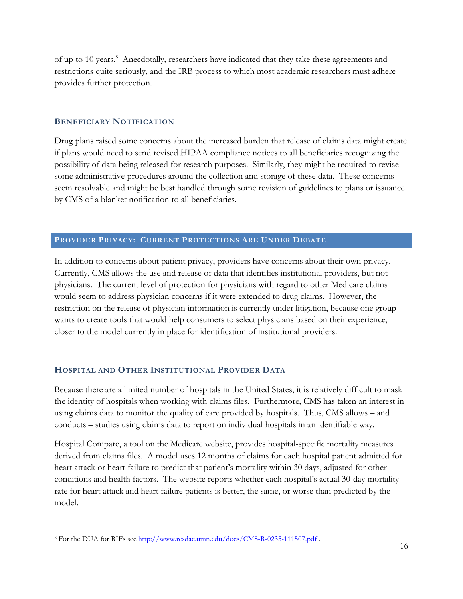of up to 10 years.<sup>8</sup> Anecdotally, researchers have indicated that they take these agreements and restrictions quite seriously, and the IRB process to which most academic researchers must adhere provides further protection.

#### **BENEFICIARY NOTIFICATION**

Drug plans raised some concerns about the increased burden that release of claims data might create if plans would need to send revised HIPAA compliance notices to all beneficiaries recognizing the possibility of data being released for research purposes. Similarly, they might be required to revise some administrative procedures around the collection and storage of these data. These concerns seem resolvable and might be best handled through some revision of guidelines to plans or issuance by CMS of a blanket notification to all beneficiaries.

#### PROVIDER PRIVACY: CURRENT PROTECTIONS ARE UNDER DEBATE

In addition to concerns about patient privacy, providers have concerns about their own privacy. Currently, CMS allows the use and release of data that identifies institutional providers, but not physicians. The current level of protection for physicians with regard to other Medicare claims would seem to address physician concerns if it were extended to drug claims. However, the restriction on the release of physician information is currently under litigation, because one group wants to create tools that would help consumers to select physicians based on their experience, closer to the model currently in place for identification of institutional providers.

#### HOSPITAL AND OTHER INSTITUTIONAL PROVIDER DATA

Because there are a limited number of hospitals in the United States, it is relatively difficult to mask the identity of hospitals when working with claims files. Furthermore, CMS has taken an interest in using claims data to monitor the quality of care provided by hospitals. Thus, CMS allows – and conducts – studies using claims data to report on individual hospitals in an identifiable way.

Hospital Compare, a tool on the Medicare website, provides hospital-specific mortality measures derived from claims files. A model uses 12 months of claims for each hospital patient admitted for heart attack or heart failure to predict that patient's mortality within 30 days, adjusted for other conditions and health factors. The website reports whether each hospital's actual 30-day mortality rate for heart attack and heart failure patients is better, the same, or worse than predicted by the model.

<sup>&</sup>lt;sup>8</sup> For the DUA for RIFs see http://www.resdac.umn.edu/docs/CMS-R-0235-111507.pdf.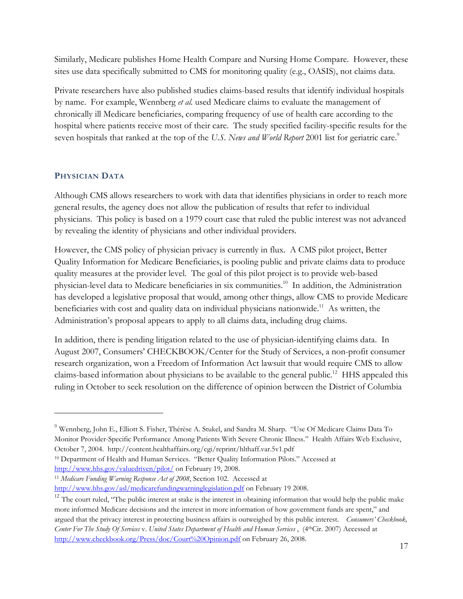Similarly, Medicare publishes Home Health Compare and Nursing Home Compare. However, these sites use data specifically submitted to CMS for monitoring quality (e.g., OASIS), not claims data.

Private researchers have also published studies claims-based results that identify individual hospitals by name. For example, Wennberg et al. used Medicare claims to evaluate the management of chronically ill Medicare beneficiaries, comparing frequency of use of health care according to the hospital where patients receive most of their care. The study specified facility-specific results for the seven hospitals that ranked at the top of the U.S. News and World Report 2001 list for geriatric care.<sup>9</sup>

#### PHYSICIAN DATA

Although CMS allows researchers to work with data that identifies physicians in order to reach more general results, the agency does not allow the publication of results that refer to individual physicians. This policy is based on a 1979 court case that ruled the public interest was not advanced by revealing the identity of physicians and other individual providers.

However, the CMS policy of physician privacy is currently in flux. A CMS pilot project, Better Quality Information for Medicare Beneficiaries, is pooling public and private claims data to produce quality measures at the provider level. The goal of this pilot project is to provide web-based physician-level data to Medicare beneficiaries in six communities.<sup>10</sup> In addition, the Administration has developed a legislative proposal that would, among other things, allow CMS to provide Medicare beneficiaries with cost and quality data on individual physicians nationwide.<sup>11</sup> As written, the Administration's proposal appears to apply to all claims data, including drug claims.

In addition, there is pending litigation related to the use of physician-identifying claims data. In August 2007, Consumers' CHECKBOOK/Center for the Study of Services, a non-profit consumer research organization, won a Freedom of Information Act lawsuit that would require CMS to allow claims-based information about physicians to be available to the general public.<sup>12</sup> HHS appealed this ruling in October to seek resolution on the difference of opinion between the District of Columbia

<sup>11</sup> Medicare Funding Warning Response Act of 2008, Section 102. Accessed at http://www.hhs.gov/asl/medicarefundingwarninglegislation.pdf on February 19 2008.

<sup>&</sup>lt;sup>9</sup> Wennberg, John E., Elliott S. Fisher, Thérèse A. Stukel, and Sandra M. Sharp. "Use Of Medicare Claims Data To Monitor Provider-Specific Performance Among Patients With Severe Chronic Illness." Health Affairs Web Exclusive, October 7, 2004. http://content.healthaffairs.org/cgi/reprint/hlthaff.var.5v1.pdf

<sup>&</sup>lt;sup>10</sup> Department of Health and Human Services. "Better Quality Information Pilots." Accessed at http://www.hhs.gov/valuedriven/pilot/ on February 19, 2008.

<sup>&</sup>lt;sup>12</sup> The court ruled, "The public interest at stake is the interest in obtaining information that would help the public make more informed Medicare decisions and the interest in more information of how government funds are spent," and argued that the privacy interest in protecting business affairs is outweighed by this public interest. Consumers' Checkbook, Center For The Study Of Services v. United States Department of Health and Human Services, (4th Cir. 2007) Accessed at http://www.checkbook.org/Press/doc/Court%20Opinion.pdf on February 26, 2008.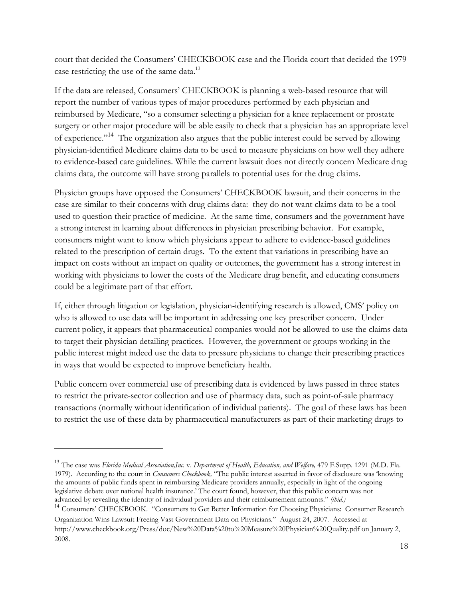court that decided the Consumers' CHECKBOOK case and the Florida court that decided the 1979 case restricting the use of the same data.<sup>13</sup>

If the data are released, Consumers' CHECKBOOK is planning a web-based resource that will report the number of various types of major procedures performed by each physician and reimbursed by Medicare, "so a consumer selecting a physician for a knee replacement or prostate surgery or other major procedure will be able easily to check that a physician has an appropriate level of experience."<sup>14</sup> The organization also argues that the public interest could be served by allowing physician-identified Medicare claims data to be used to measure physicians on how well they adhere to evidence-based care guidelines. While the current lawsuit does not directly concern Medicare drug claims data, the outcome will have strong parallels to potential uses for the drug claims.

Physician groups have opposed the Consumers' CHECKBOOK lawsuit, and their concerns in the case are similar to their concerns with drug claims data: they do not want claims data to be a tool used to question their practice of medicine. At the same time, consumers and the government have a strong interest in learning about differences in physician prescribing behavior. For example, consumers might want to know which physicians appear to adhere to evidence-based guidelines related to the prescription of certain drugs. To the extent that variations in prescribing have an impact on costs without an impact on quality or outcomes, the government has a strong interest in working with physicians to lower the costs of the Medicare drug benefit, and educating consumers could be a legitimate part of that effort.

If, either through litigation or legislation, physician-identifying research is allowed, CMS' policy on who is allowed to use data will be important in addressing one key prescriber concern. Under current policy, it appears that pharmaceutical companies would not be allowed to use the claims data to target their physician detailing practices. However, the government or groups working in the public interest might indeed use the data to pressure physicians to change their prescribing practices in ways that would be expected to improve beneficiary health.

Public concern over commercial use of prescribing data is evidenced by laws passed in three states to restrict the private-sector collection and use of pharmacy data, such as point-of-sale pharmacy transactions (normally without identification of individual patients). The goal of these laws has been to restrict the use of these data by pharmaceutical manufacturers as part of their marketing drugs to

<sup>&</sup>lt;sup>13</sup> The case was Florida Medical Association, Inc. v. Department of Health, Education, and Welfare, 479 F.Supp. 1291 (M.D. Fla. 1979). According to the court in Consumers Checkbook, "The public interest asserted in favor of disclosure was 'knowing the amounts of public funds spent in reimbursing Medicare providers annually, especially in light of the ongoing legislative debate over national health insurance.' The court found, however, that this public concern was not advanced by revealing the identity of individual providers and their reimbursement amounts." (ibid.)

<sup>&</sup>lt;sup>14</sup> Consumers' CHECKBOOK. "Consumers to Get Better Information for Choosing Physicians: Consumer Research Organization Wins Lawsuit Freeing Vast Government Data on Physicians." August 24, 2007. Accessed at http://www.checkbook.org/Press/doc/New%20Data%20to%20Measure%20Physician%20Quality.pdf on January 2,

<sup>2008.</sup>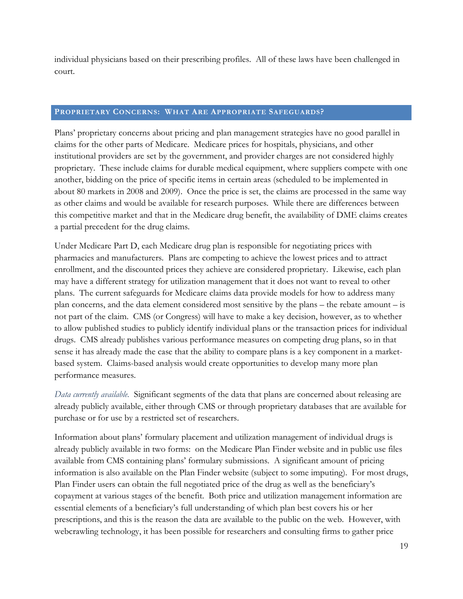individual physicians based on their prescribing profiles. All of these laws have been challenged in court.

#### PROPRIETARY CONCERNS: WHAT ARE APPROPRIATE SAFEGUARDS?

Plans' proprietary concerns about pricing and plan management strategies have no good parallel in claims for the other parts of Medicare. Medicare prices for hospitals, physicians, and other institutional providers are set by the government, and provider charges are not considered highly proprietary. These include claims for durable medical equipment, where suppliers compete with one another, bidding on the price of specific items in certain areas (scheduled to be implemented in about 80 markets in 2008 and 2009). Once the price is set, the claims are processed in the same way as other claims and would be available for research purposes. While there are differences between this competitive market and that in the Medicare drug benefit, the availability of DME claims creates a partial precedent for the drug claims.

Under Medicare Part D, each Medicare drug plan is responsible for negotiating prices with pharmacies and manufacturers. Plans are competing to achieve the lowest prices and to attract enrollment, and the discounted prices they achieve are considered proprietary. Likewise, each plan may have a different strategy for utilization management that it does not want to reveal to other plans. The current safeguards for Medicare claims data provide models for how to address many plan concerns, and the data element considered most sensitive by the plans – the rebate amount – is not part of the claim. CMS (or Congress) will have to make a key decision, however, as to whether to allow published studies to publicly identify individual plans or the transaction prices for individual drugs. CMS already publishes various performance measures on competing drug plans, so in that sense it has already made the case that the ability to compare plans is a key component in a marketbased system. Claims-based analysis would create opportunities to develop many more plan performance measures.

Data currently available. Significant segments of the data that plans are concerned about releasing are already publicly available, either through CMS or through proprietary databases that are available for purchase or for use by a restricted set of researchers.

Information about plans' formulary placement and utilization management of individual drugs is already publicly available in two forms: on the Medicare Plan Finder website and in public use files available from CMS containing plans' formulary submissions. A significant amount of pricing information is also available on the Plan Finder website (subject to some imputing). For most drugs, Plan Finder users can obtain the full negotiated price of the drug as well as the beneficiary's copayment at various stages of the benefit. Both price and utilization management information are essential elements of a beneficiary's full understanding of which plan best covers his or her prescriptions, and this is the reason the data are available to the public on the web. However, with webcrawling technology, it has been possible for researchers and consulting firms to gather price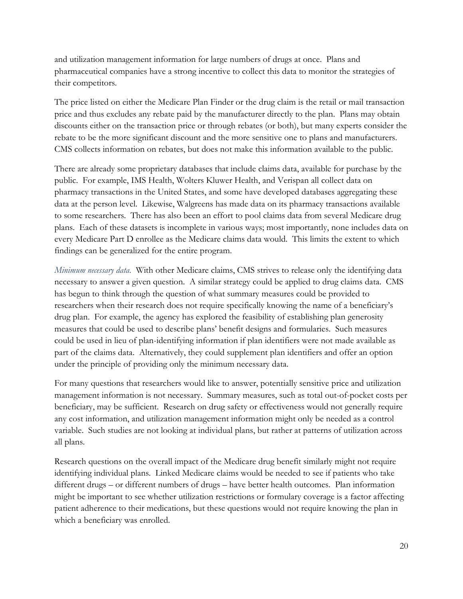and utilization management information for large numbers of drugs at once. Plans and pharmaceutical companies have a strong incentive to collect this data to monitor the strategies of their competitors.

The price listed on either the Medicare Plan Finder or the drug claim is the retail or mail transaction price and thus excludes any rebate paid by the manufacturer directly to the plan. Plans may obtain discounts either on the transaction price or through rebates (or both), but many experts consider the rebate to be the more significant discount and the more sensitive one to plans and manufacturers. CMS collects information on rebates, but does not make this information available to the public.

There are already some proprietary databases that include claims data, available for purchase by the public. For example, IMS Health, Wolters Kluwer Health, and Verispan all collect data on pharmacy transactions in the United States, and some have developed databases aggregating these data at the person level. Likewise, Walgreens has made data on its pharmacy transactions available to some researchers. There has also been an effort to pool claims data from several Medicare drug plans. Each of these datasets is incomplete in various ways; most importantly, none includes data on every Medicare Part D enrollee as the Medicare claims data would. This limits the extent to which findings can be generalized for the entire program.

Minimum necessary data. With other Medicare claims, CMS strives to release only the identifying data necessary to answer a given question. A similar strategy could be applied to drug claims data. CMS has begun to think through the question of what summary measures could be provided to researchers when their research does not require specifically knowing the name of a beneficiary's drug plan. For example, the agency has explored the feasibility of establishing plan generosity measures that could be used to describe plans' benefit designs and formularies. Such measures could be used in lieu of plan-identifying information if plan identifiers were not made available as part of the claims data. Alternatively, they could supplement plan identifiers and offer an option under the principle of providing only the minimum necessary data.

For many questions that researchers would like to answer, potentially sensitive price and utilization management information is not necessary. Summary measures, such as total out-of-pocket costs per beneficiary, may be sufficient. Research on drug safety or effectiveness would not generally require any cost information, and utilization management information might only be needed as a control variable. Such studies are not looking at individual plans, but rather at patterns of utilization across all plans.

Research questions on the overall impact of the Medicare drug benefit similarly might not require identifying individual plans. Linked Medicare claims would be needed to see if patients who take different drugs – or different numbers of drugs – have better health outcomes. Plan information might be important to see whether utilization restrictions or formulary coverage is a factor affecting patient adherence to their medications, but these questions would not require knowing the plan in which a beneficiary was enrolled.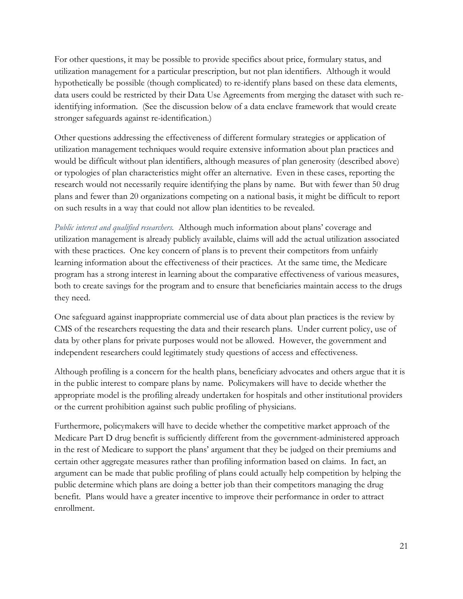For other questions, it may be possible to provide specifics about price, formulary status, and utilization management for a particular prescription, but not plan identifiers. Although it would hypothetically be possible (though complicated) to re-identify plans based on these data elements, data users could be restricted by their Data Use Agreements from merging the dataset with such reidentifying information. (See the discussion below of a data enclave framework that would create stronger safeguards against re-identification.)

Other questions addressing the effectiveness of different formulary strategies or application of utilization management techniques would require extensive information about plan practices and would be difficult without plan identifiers, although measures of plan generosity (described above) or typologies of plan characteristics might offer an alternative. Even in these cases, reporting the research would not necessarily require identifying the plans by name. But with fewer than 50 drug plans and fewer than 20 organizations competing on a national basis, it might be difficult to report on such results in a way that could not allow plan identities to be revealed.

Public interest and qualified researchers. Although much information about plans' coverage and utilization management is already publicly available, claims will add the actual utilization associated with these practices. One key concern of plans is to prevent their competitors from unfairly learning information about the effectiveness of their practices. At the same time, the Medicare program has a strong interest in learning about the comparative effectiveness of various measures, both to create savings for the program and to ensure that beneficiaries maintain access to the drugs they need.

One safeguard against inappropriate commercial use of data about plan practices is the review by CMS of the researchers requesting the data and their research plans. Under current policy, use of data by other plans for private purposes would not be allowed. However, the government and independent researchers could legitimately study questions of access and effectiveness.

Although profiling is a concern for the health plans, beneficiary advocates and others argue that it is in the public interest to compare plans by name. Policymakers will have to decide whether the appropriate model is the profiling already undertaken for hospitals and other institutional providers or the current prohibition against such public profiling of physicians.

Furthermore, policymakers will have to decide whether the competitive market approach of the Medicare Part D drug benefit is sufficiently different from the government-administered approach in the rest of Medicare to support the plans' argument that they be judged on their premiums and certain other aggregate measures rather than profiling information based on claims. In fact, an argument can be made that public profiling of plans could actually help competition by helping the public determine which plans are doing a better job than their competitors managing the drug benefit. Plans would have a greater incentive to improve their performance in order to attract enrollment.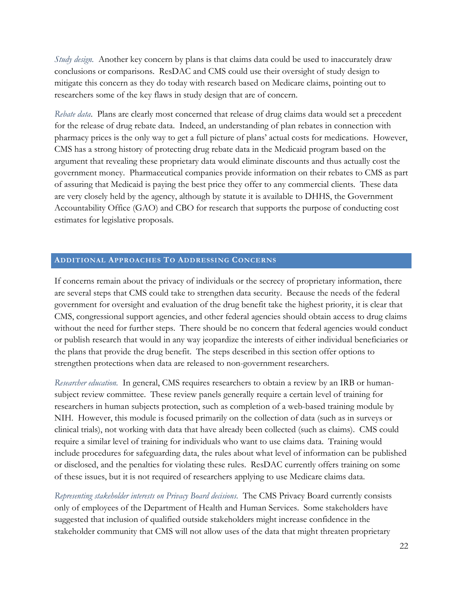*Study design.* Another key concern by plans is that claims data could be used to inaccurately draw conclusions or comparisons. ResDAC and CMS could use their oversight of study design to mitigate this concern as they do today with research based on Medicare claims, pointing out to researchers some of the key flaws in study design that are of concern.

Rebate data. Plans are clearly most concerned that release of drug claims data would set a precedent for the release of drug rebate data. Indeed, an understanding of plan rebates in connection with pharmacy prices is the only way to get a full picture of plans' actual costs for medications. However, CMS has a strong history of protecting drug rebate data in the Medicaid program based on the argument that revealing these proprietary data would eliminate discounts and thus actually cost the government money. Pharmaceutical companies provide information on their rebates to CMS as part of assuring that Medicaid is paying the best price they offer to any commercial clients. These data are very closely held by the agency, although by statute it is available to DHHS, the Government Accountability Office (GAO) and CBO for research that supports the purpose of conducting cost estimates for legislative proposals.

#### **ADDITIONAL APPROACHES TO ADDRESSING CONCERNS**

If concerns remain about the privacy of individuals or the secrecy of proprietary information, there are several steps that CMS could take to strengthen data security. Because the needs of the federal government for oversight and evaluation of the drug benefit take the highest priority, it is clear that CMS, congressional support agencies, and other federal agencies should obtain access to drug claims without the need for further steps. There should be no concern that federal agencies would conduct or publish research that would in any way jeopardize the interests of either individual beneficiaries or the plans that provide the drug benefit. The steps described in this section offer options to strengthen protections when data are released to non-government researchers.

Researcher education. In general, CMS requires researchers to obtain a review by an IRB or humansubject review committee. These review panels generally require a certain level of training for researchers in human subjects protection, such as completion of a web-based training module by NIH. However, this module is focused primarily on the collection of data (such as in surveys or clinical trials), not working with data that have already been collected (such as claims). CMS could require a similar level of training for individuals who want to use claims data. Training would include procedures for safeguarding data, the rules about what level of information can be published or disclosed, and the penalties for violating these rules. ResDAC currently offers training on some of these issues, but it is not required of researchers applying to use Medicare claims data.

Representing stakeholder interests on Privacy Board decisions. The CMS Privacy Board currently consists only of employees of the Department of Health and Human Services. Some stakeholders have suggested that inclusion of qualified outside stakeholders might increase confidence in the stakeholder community that CMS will not allow uses of the data that might threaten proprietary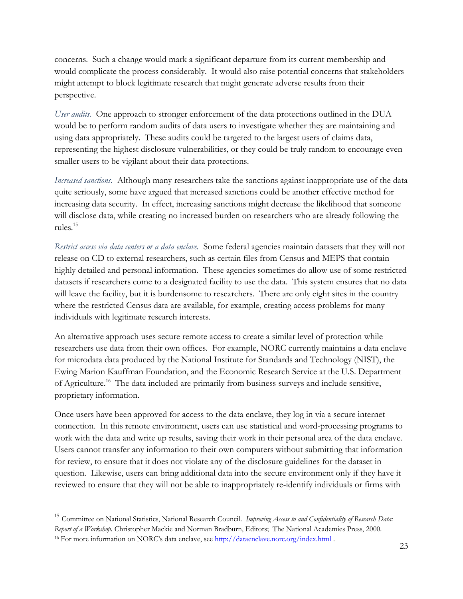concerns. Such a change would mark a significant departure from its current membership and would complicate the process considerably. It would also raise potential concerns that stakeholders might attempt to block legitimate research that might generate adverse results from their perspective.

User audits. One approach to stronger enforcement of the data protections outlined in the DUA would be to perform random audits of data users to investigate whether they are maintaining and using data appropriately. These audits could be targeted to the largest users of claims data, representing the highest disclosure vulnerabilities, or they could be truly random to encourage even smaller users to be vigilant about their data protections.

Increased sanctions. Although many researchers take the sanctions against inappropriate use of the data quite seriously, some have argued that increased sanctions could be another effective method for increasing data security. In effect, increasing sanctions might decrease the likelihood that someone will disclose data, while creating no increased burden on researchers who are already following the rules.<sup>15</sup>

Restrict access via data centers or a data enclave. Some federal agencies maintain datasets that they will not release on CD to external researchers, such as certain files from Census and MEPS that contain highly detailed and personal information. These agencies sometimes do allow use of some restricted datasets if researchers come to a designated facility to use the data. This system ensures that no data will leave the facility, but it is burdensome to researchers. There are only eight sites in the country where the restricted Census data are available, for example, creating access problems for many individuals with legitimate research interests.

An alternative approach uses secure remote access to create a similar level of protection while researchers use data from their own offices. For example, NORC currently maintains a data enclave for microdata data produced by the National Institute for Standards and Technology (NIST), the Ewing Marion Kauffman Foundation, and the Economic Research Service at the U.S. Department of Agriculture.<sup>16</sup> The data included are primarily from business surveys and include sensitive, proprietary information.

Once users have been approved for access to the data enclave, they log in via a secure internet connection. In this remote environment, users can use statistical and word-processing programs to work with the data and write up results, saving their work in their personal area of the data enclave. Users cannot transfer any information to their own computers without submitting that information for review, to ensure that it does not violate any of the disclosure guidelines for the dataset in question. Likewise, users can bring additional data into the secure environment only if they have it reviewed to ensure that they will not be able to inappropriately re-identify individuals or firms with

<sup>&</sup>lt;sup>15</sup> Committee on National Statistics, National Research Council. Improving Access to and Confidentiality of Research Data: Report of a Workshop. Christopher Mackie and Norman Bradburn, Editors; The National Academies Press, 2000. <sup>16</sup> For more information on NORC's data enclave, see http://dataenclave.norc.org/index.html.